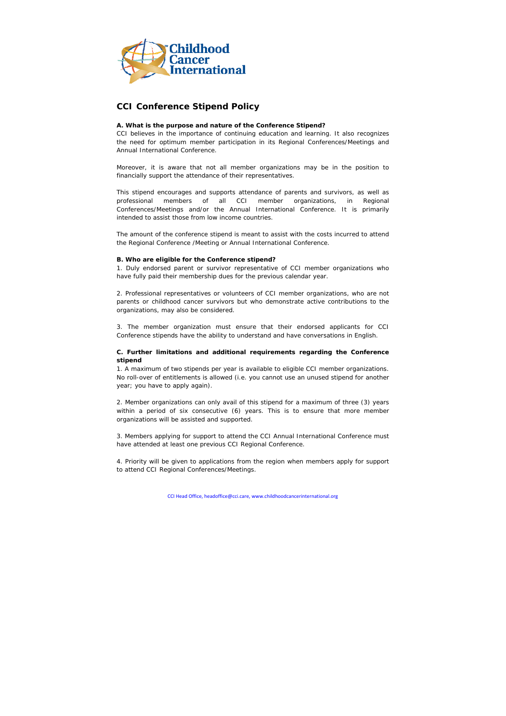

# **CCI Conference Stipend Policy**

## **A. What is the purpose and nature of the Conference Stipend?**

CCI believes in the importance of continuing education and learning. It also recognizes the need for optimum member participation in its Regional Conferences/Meetings and Annual International Conference.

Moreover, it is aware that not all member organizations may be in the position to financially support the attendance of their representatives.

This stipend encourages and supports attendance of parents and survivors, as well as professional members of all CCI member organizations, in Regional Conferences/Meetings and/or the Annual International Conference. It is primarily intended to assist those from low income countries.

The amount of the conference stipend is meant to assist with the costs incurred to attend the Regional Conference /Meeting or Annual International Conference.

#### **B. Who are eligible for the Conference stipend?**

1. Duly endorsed parent or survivor representative of CCI member organizations who have fully paid their membership dues for the previous calendar year.

2. Professional representatives or volunteers of CCI member organizations, who are not parents or childhood cancer survivors but who demonstrate active contributions to the organizations, may also be considered.

3. The member organization must ensure that their endorsed applicants for CCI Conference stipends have the ability to understand and have conversations in English.

## **C. Further limitations and additional requirements regarding the Conference stipend**

1. A maximum of two stipends per year is available to eligible CCI member organizations. No roll-over of entitlements is allowed (i.e. you cannot use an unused stipend for another year; you have to apply again).

2. Member organizations can only avail of this stipend for a maximum of three (3) years within a period of six consecutive (6) years. This is to ensure that more member organizations will be assisted and supported.

3. Members applying for support to attend the CCI Annual International Conference must have attended at least one previous CCI Regional Conference.

4. Priority will be given to applications from the region when members apply for support to attend CCI Regional Conferences/Meetings.